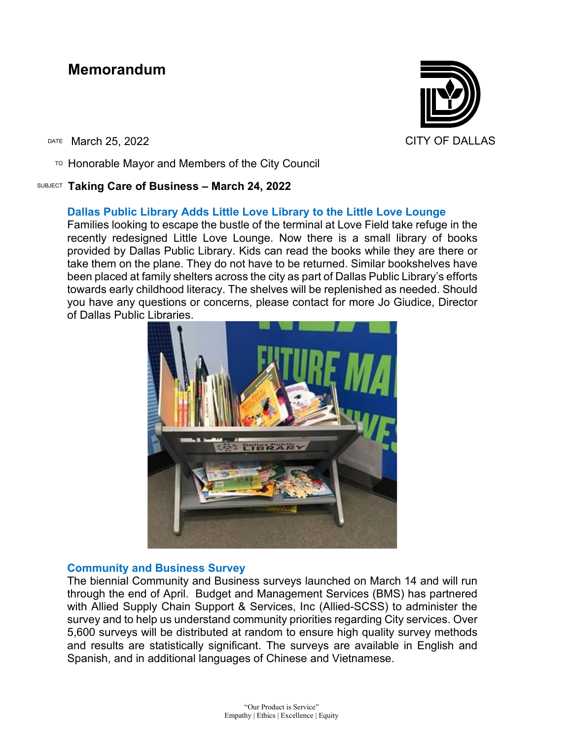# **Memorandum**

DATE March 25, 2022 CITY OF DALLAS

 $T$ <sup>O</sup> Honorable Mayor and Members of the City Council

### SUBJECT **Taking Care of Business – March 24, 2022**

## **Dallas Public Library Adds Little Love Library to the Little Love Lounge**

Families looking to escape the bustle of the terminal at Love Field take refuge in the recently redesigned Little Love Lounge. Now there is a small library of books provided by Dallas Public Library. Kids can read the books while they are there or take them on the plane. They do not have to be returned. Similar bookshelves have been placed at family shelters across the city as part of Dallas Public Library's efforts towards early childhood literacy. The shelves will be replenished as needed. Should you have any questions or concerns, please contact for more Jo Giudice, Director of Dallas Public Libraries.



## **Community and Business Survey**

The biennial Community and Business surveys launched on March 14 and will run through the end of April. Budget and Management Services (BMS) has partnered with Allied Supply Chain Support & Services, Inc (Allied-SCSS) to administer the survey and to help us understand community priorities regarding City services. Over 5,600 surveys will be distributed at random to ensure high quality survey methods and results are statistically significant. The surveys are available in English and Spanish, and in additional languages of Chinese and Vietnamese.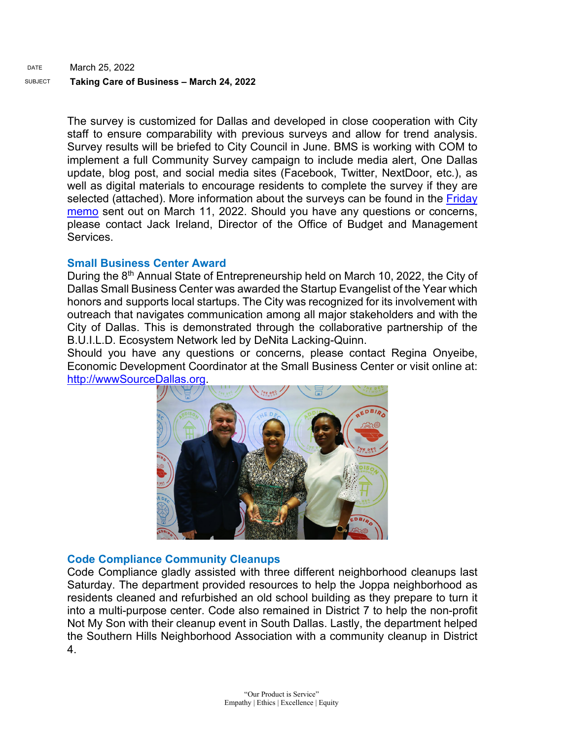The survey is customized for Dallas and developed in close cooperation with City staff to ensure comparability with previous surveys and allow for trend analysis. Survey results will be briefed to City Council in June. BMS is working with COM to implement a full Community Survey campaign to include media alert, One Dallas update, blog post, and social media sites (Facebook, Twitter, NextDoor, etc.), as well as digital materials to encourage residents to complete the survey if they are selected (attached). More information about the surveys can be found in the Friday [memo](https://gcc02.safelinks.protection.outlook.com/?url=https%3A%2F%2Fdallascityhall.com%2Fgovernment%2Fcitymanager%2FDocuments%2FFY%252021-22%2520Memos%2F2022-Community-and-Business-Surveys_Memo_031122.pdf&data=04%7C01%7Ctatjana.williams%40dallascityhall.com%7C6d624d04647b40d32b2908da0b4ec8a1%7C2935709ec10c4809a302852d369f8700%7C0%7C0%7C637834730258934798%7CUnknown%7CTWFpbGZsb3d8eyJWIjoiMC4wLjAwMDAiLCJQIjoiV2luMzIiLCJBTiI6Ik1haWwiLCJXVCI6Mn0%3D%7C3000&sdata=LClL8d0iFXNLQrKDDXCQ5L7N4e1LJCt96b2euq4ed%2F8%3D&reserved=0) sent out on March 11, 2022. Should you have any questions or concerns, please contact Jack Ireland, Director of the Office of Budget and Management Services.

## **Small Business Center Award**

During the 8<sup>th</sup> Annual State of Entrepreneurship held on March 10, 2022, the City of Dallas Small Business Center was awarded the Startup Evangelist of the Year which honors and supports local startups. The City was recognized for its involvement with outreach that navigates communication among all major stakeholders and with the City of Dallas. This is demonstrated through the collaborative partnership of the B.U.I.L.D. Ecosystem Network led by DeNita Lacking-Quinn.

Should you have any questions or concerns, please contact Regina Onyeibe, Economic Development Coordinator at the Small Business Center or visit online at: [http://wwwSourceDallas.org.](https://gcc02.safelinks.protection.outlook.com/?url=http%3A%2F%2Fwwwsourcedallas.org%2F&data=04%7C01%7Ctatjana.williams%40dallascityhall.com%7C74cb13a1f2df4c90b37108da01600b52%7C2935709ec10c4809a302852d369f8700%7C0%7C0%7C637823809263029973%7CUnknown%7CTWFpbGZsb3d8eyJWIjoiMC4wLjAwMDAiLCJQIjoiV2luMzIiLCJBTiI6Ik1haWwiLCJXVCI6Mn0%3D%7C3000&sdata=tVDYWYDBLQTNAFaatg8%2FnwA%2F4kCU34RAdNCktYJtLo8%3D&reserved=0)



# **Code Compliance Community Cleanups**

Code Compliance gladly assisted with three different neighborhood cleanups last Saturday. The department provided resources to help the Joppa neighborhood as residents cleaned and refurbished an old school building as they prepare to turn it into a multi-purpose center. Code also remained in District 7 to help the non-profit Not My Son with their cleanup event in South Dallas. Lastly, the department helped the Southern Hills Neighborhood Association with a community cleanup in District 4.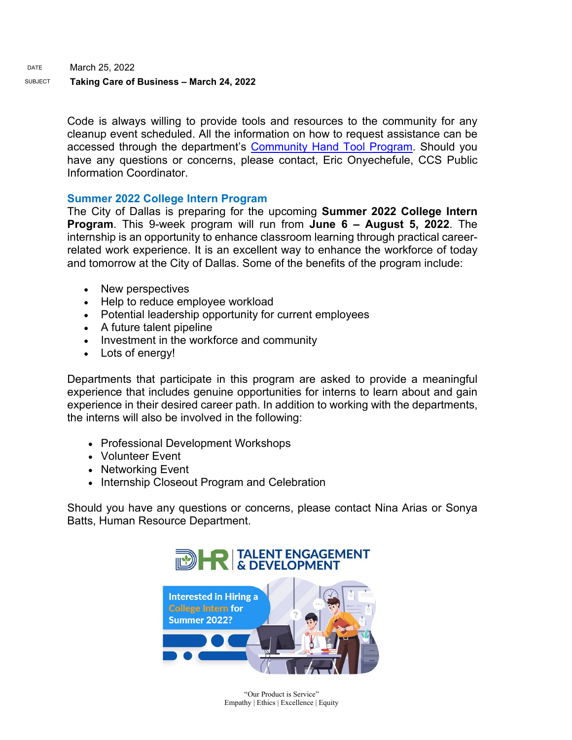DATE March 25, 2022

#### SUBJECT **Taking Care of Business – March 24, 2022**

Code is always willing to provide tools and resources to the community for any cleanup event scheduled. All the information on how to request assistance can be accessed through the department's **Community Hand Tool Program. Should you** have any questions or concerns, please contact, Eric Onyechefule, CCS Public Information Coordinator.

#### **Summer 2022 College Intern Program**

The City of Dallas is preparing for the upcoming **Summer 2022 College Intern Program**. This 9-week program will run from **June 6 – August 5, 2022**. The internship is an opportunity to enhance classroom learning through practical careerrelated work experience. It is an excellent way to enhance the workforce of today and tomorrow at the City of Dallas. Some of the benefits of the program include:

- New perspectives
- Help to reduce employee workload
- Potential leadership opportunity for current employees
- A future talent pipeline
- Investment in the workforce and community
- Lots of energy!

Departments that participate in this program are asked to provide a meaningful experience that includes genuine opportunities for interns to learn about and gain experience in their desired career path. In addition to working with the departments, the interns will also be involved in the following:

- Professional Development Workshops
- Volunteer Event
- Networking Event
- Internship Closeout Program and Celebration

Should you have any questions or concerns, please contact Nina Arias or Sonya Batts, Human Resource Department.



"Our Product is Service" Empathy | Ethics | Excellence | Equity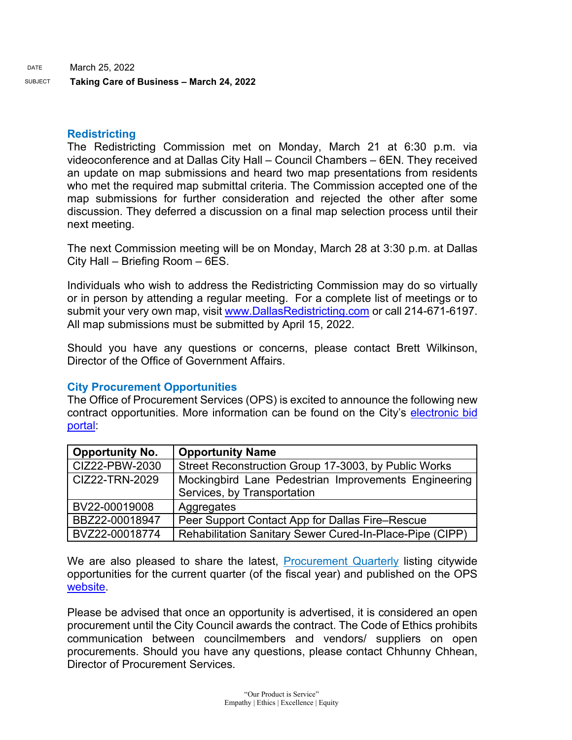## **Redistricting**

The Redistricting Commission met on Monday, March 21 at 6:30 p.m. via videoconference and at Dallas City Hall – Council Chambers – 6EN. They received an update on map submissions and heard two map presentations from residents who met the required map submittal criteria. The Commission accepted one of the map submissions for further consideration and rejected the other after some discussion. They deferred a discussion on a final map selection process until their next meeting.

The next Commission meeting will be on Monday, March 28 at 3:30 p.m. at Dallas City Hall – Briefing Room – 6ES.

Individuals who wish to address the Redistricting Commission may do so virtually or in person by attending a regular meeting. For a complete list of meetings or to submit your very own map, visit [www.DallasRedistricting.com](https://gcc02.safelinks.protection.outlook.com/?url=http%3A%2F%2Fwww.dallasredistricting.com%2F&data=04%7C01%7Ctatjana.williams%40dallascityhall.com%7Ce5e0160e556844c0547f08da0c19416d%7C2935709ec10c4809a302852d369f8700%7C0%7C0%7C637835599848686112%7CUnknown%7CTWFpbGZsb3d8eyJWIjoiMC4wLjAwMDAiLCJQIjoiV2luMzIiLCJBTiI6Ik1haWwiLCJXVCI6Mn0%3D%7C3000&sdata=cEDICIWn05MubY4ZHPZibIa2aQEbTIm6RozFv1O6vIk%3D&reserved=0) or call 214-671-6197. All map submissions must be submitted by April 15, 2022.

Should you have any questions or concerns, please contact Brett Wilkinson, Director of the Office of Government Affairs.

## **City Procurement Opportunities**

The Office of Procurement Services (OPS) is excited to announce the following new contract opportunities. More information can be found on the City's [electronic bid](https://gcc02.safelinks.protection.outlook.com/?url=https%3A%2F%2Fdallascityhall.bonfirehub.com%2Fportal%2F%3Ftab%3DopenOpportunities&data=04%7C01%7Ctatjana.williams%40dallascityhall.com%7Ccac5afb2734942cfe01408da0b71bbb7%7C2935709ec10c4809a302852d369f8700%7C0%7C0%7C637834880350093043%7CUnknown%7CTWFpbGZsb3d8eyJWIjoiMC4wLjAwMDAiLCJQIjoiV2luMzIiLCJBTiI6Ik1haWwiLCJXVCI6Mn0%3D%7C3000&sdata=D39c4IbsvQhVwpdWwIK84MWS3gQppFqRg9Rz%2F%2BvYV98%3D&reserved=0)  [portal:](https://gcc02.safelinks.protection.outlook.com/?url=https%3A%2F%2Fdallascityhall.bonfirehub.com%2Fportal%2F%3Ftab%3DopenOpportunities&data=04%7C01%7Ctatjana.williams%40dallascityhall.com%7Ccac5afb2734942cfe01408da0b71bbb7%7C2935709ec10c4809a302852d369f8700%7C0%7C0%7C637834880350093043%7CUnknown%7CTWFpbGZsb3d8eyJWIjoiMC4wLjAwMDAiLCJQIjoiV2luMzIiLCJBTiI6Ik1haWwiLCJXVCI6Mn0%3D%7C3000&sdata=D39c4IbsvQhVwpdWwIK84MWS3gQppFqRg9Rz%2F%2BvYV98%3D&reserved=0)

| <b>Opportunity No.</b> | <b>Opportunity Name</b>                                                             |
|------------------------|-------------------------------------------------------------------------------------|
| CIZ22-PBW-2030         | Street Reconstruction Group 17-3003, by Public Works                                |
| CIZ22-TRN-2029         | Mockingbird Lane Pedestrian Improvements Engineering<br>Services, by Transportation |
| BV22-00019008          | Aggregates                                                                          |
| BBZ22-00018947         | Peer Support Contact App for Dallas Fire–Rescue                                     |
| BVZ22-00018774         | Rehabilitation Sanitary Sewer Cured-In-Place-Pipe (CIPP)                            |

We are also pleased to share the latest, [Procurement Quarterly](https://gcc02.safelinks.protection.outlook.com/?url=https%3A%2F%2Fdallascityhall.com%2Fdepartments%2Fprocurement%2FPublishingImages%2FPages%2Fdefault%2FProcurement%2520Quarterly%2520Forecast%2520FY22%2520Q2.pdf&data=04%7C01%7Ctatjana.williams%40dallascityhall.com%7Ccac5afb2734942cfe01408da0b71bbb7%7C2935709ec10c4809a302852d369f8700%7C0%7C0%7C637834880350093043%7CUnknown%7CTWFpbGZsb3d8eyJWIjoiMC4wLjAwMDAiLCJQIjoiV2luMzIiLCJBTiI6Ik1haWwiLCJXVCI6Mn0%3D%7C3000&sdata=%2FOMi7AMr6%2B608wLCdlfLUATmn1mwmMaHHwCTZZplkJU%3D&reserved=0) listing citywide opportunities for the current quarter (of the fiscal year) and published on the OPS [website.](https://gcc02.safelinks.protection.outlook.com/?url=https%3A%2F%2Fdallascityhall.com%2Fdepartments%2Fprocurement%2FPages%2Fdefault.aspx&data=04%7C01%7Ctatjana.williams%40dallascityhall.com%7Ccac5afb2734942cfe01408da0b71bbb7%7C2935709ec10c4809a302852d369f8700%7C0%7C0%7C637834880350093043%7CUnknown%7CTWFpbGZsb3d8eyJWIjoiMC4wLjAwMDAiLCJQIjoiV2luMzIiLCJBTiI6Ik1haWwiLCJXVCI6Mn0%3D%7C3000&sdata=05jujfTsARq83a4dAESJQDanoyrr%2FgsymCzLv0OC37o%3D&reserved=0)

Please be advised that once an opportunity is advertised, it is considered an open procurement until the City Council awards the contract. The Code of Ethics prohibits communication between councilmembers and vendors/ suppliers on open procurements. Should you have any questions, please contact Chhunny Chhean, Director of Procurement Services.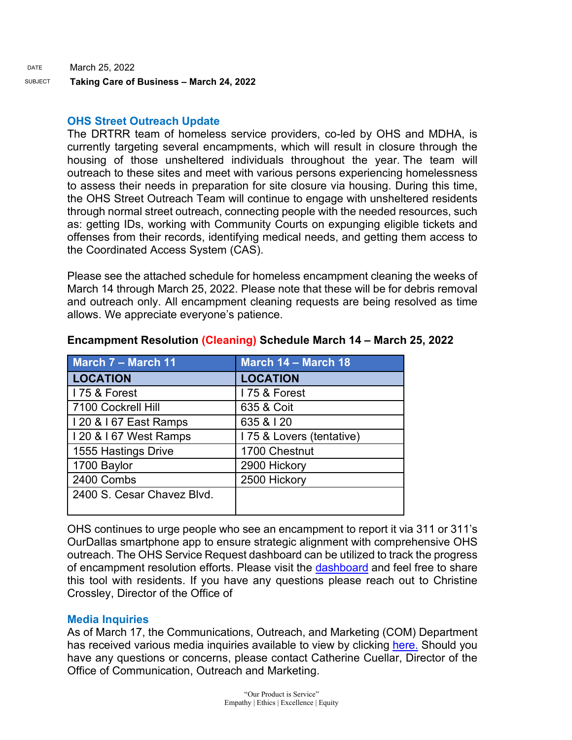SUBJECT **Taking Care of Business – March 24, 2022** 

## **OHS Street Outreach Update**

The DRTRR team of homeless service providers, co-led by OHS and MDHA, is currently targeting several encampments, which will result in closure through the housing of those unsheltered individuals throughout the year. The team will outreach to these sites and meet with various persons experiencing homelessness to assess their needs in preparation for site closure via housing. During this time, the OHS Street Outreach Team will continue to engage with unsheltered residents through normal street outreach, connecting people with the needed resources, such as: getting IDs, working with Community Courts on expunging eligible tickets and offenses from their records, identifying medical needs, and getting them access to the Coordinated Access System (CAS).

Please see the attached schedule for homeless encampment cleaning the weeks of March 14 through March 25, 2022. Please note that these will be for debris removal and outreach only. All encampment cleaning requests are being resolved as time allows. We appreciate everyone's patience.

| <b>March 7 - March 11</b>  | March 14 - March 18      |
|----------------------------|--------------------------|
| <b>LOCATION</b>            | <b>LOCATION</b>          |
| I 75 & Forest              | I 75 & Forest            |
| 7100 Cockrell Hill         | 635 & Coit               |
| I 20 & I 67 East Ramps     | 635 & 120                |
| I 20 & I 67 West Ramps     | 175 & Lovers (tentative) |
| 1555 Hastings Drive        | 1700 Chestnut            |
| 1700 Baylor                | 2900 Hickory             |
| 2400 Combs                 | 2500 Hickory             |
| 2400 S. Cesar Chavez Blvd. |                          |

### **Encampment Resolution (Cleaning) Schedule March 14 – March 25, 2022**

OHS continues to urge people who see an encampment to report it via 311 or 311's OurDallas smartphone app to ensure strategic alignment with comprehensive OHS outreach. The OHS Service Request dashboard can be utilized to track the progress of encampment resolution efforts. Please visit the [dashboard](https://gcc02.safelinks.protection.outlook.com/?url=https%3A%2F%2Fdallasgis.maps.arcgis.com%2Fapps%2Fopsdashboard%2Findex.html%23%2Fccd41f0d795f407a94ae17e2c27bf073&data=04%7C01%7Ctatjana.williams%40dallascityhall.com%7C710b8f24b07947ba28ba08da06b19bdb%7C2935709ec10c4809a302852d369f8700%7C0%7C0%7C637829657872070560%7CUnknown%7CTWFpbGZsb3d8eyJWIjoiMC4wLjAwMDAiLCJQIjoiV2luMzIiLCJBTiI6Ik1haWwiLCJXVCI6Mn0%3D%7C3000&sdata=0iKatJ8y6qD%2B9u%2BcxdDDEuFQYdidWDlPAjyNrlWDdkE%3D&reserved=0) and feel free to share this tool with residents. If you have any questions please reach out to Christine Crossley, Director of the Office of

## **Media Inquiries**

As of March 17, the Communications, Outreach, and Marketing (COM) Department has received various media inquiries available to view by clicking [here.](https://gcc02.safelinks.protection.outlook.com/ap/w-59584e83/?url=https%3A%2F%2Fdallastxgov.sharepoint.com%2F%3Aw%3A%2Fs%2FPIOTeam%2FEUEE4nSBy9dGvFu1420pnloBsJAuVpmSGNMt6Tifk4rOwQ%3Fe%3DWONp6C&data=04%7C01%7Ctatjana.williams%40dallascityhall.com%7Cd360a7c18e7147e0fa7c08d9fbbda00d%7C2935709ec10c4809a302852d369f8700%7C0%7C0%7C637817614111779763%7CUnknown%7CTWFpbGZsb3d8eyJWIjoiMC4wLjAwMDAiLCJQIjoiV2luMzIiLCJBTiI6Ik1haWwiLCJXVCI6Mn0%3D%7C3000&sdata=jnDU6xyuGgf76bIthYeFINr9AAAqzCMxKZVfISb1DMA%3D&reserved=0) Should you have any questions or concerns, please contact Catherine Cuellar, Director of the Office of Communication, Outreach and Marketing.